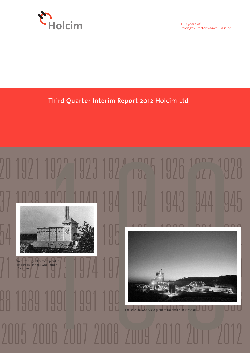

100 years of Strength. Performance. Passion.

### **Third Quarter Interim Report 2012 Holcim Ltd**

# 21023 1922 1925 1926 2027 37 1038 1036 1040 194 194 1943 944 945 54 1955 1956 1957 1958 1959 1960 1961 1962 71 1972 1973 1974 1975 1976 1977 1978 1979 10 0 Holcim's original cement plant in Holderbank in the Swiss canton of Aargau.

## 88 1989 1990 1991 1992 1993 1994 1995 1996 2005 2006 2007 2008 The new Ste. Genevieve plant of Holcim US in Missouri.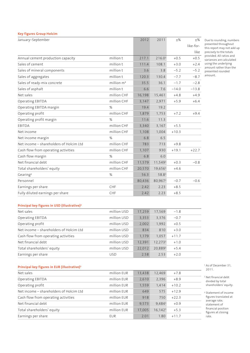#### **Key figures Group Holcim**

| January-September                       |              | 2012   | 2011               | $+$ %   | $+$ %     |
|-----------------------------------------|--------------|--------|--------------------|---------|-----------|
|                                         |              |        |                    |         | like-for- |
|                                         |              |        |                    |         | like      |
| Annual cement production capacity       | million t    | 217.1  | 216.0 <sup>1</sup> | $+0.5$  | $+0.5$    |
| Sales of cement                         | million t    | 111.4  | 108.1              | $+3.0$  | $+2.4$    |
| Sales of mineral components             | million t    | 3.6    | 3.8                | $-5.2$  | $-5.2$    |
| Sales of aggregates                     | million t    | 120.3  | 130.4              | $-7.7$  | $-8.7$    |
| Sales of ready-mix concrete             | million $m3$ | 35.5   | 36.1               | $-1.7$  | $-2.8$    |
| Sales of asphalt                        | million t    | 6.6    | 7.6                | $-14.0$ | $-13.8$   |
| Net sales                               | million CHF  | 16,198 | 15,461             | $+4.8$  | $+4.9$    |
| Operating EBITDA                        | million CHF  | 3,147  | 2,971              | $+5.9$  | $+6.4$    |
| Operating EBITDA margin                 | %            | 19.4   | 19.2               |         |           |
| Operating profit                        | million CHF  | 1,879  | 1,753              | $+7.2$  | $+9.4$    |
| Operating profit margin                 | %            | 11.6   | 11.3               |         |           |
| EBITDA                                  | million CHF  | 3,340  | 3,167              | $+5.5$  |           |
| Net income                              | million CHF  | 1,108  | 1,004              | $+10.3$ |           |
| Net income margin                       | %            | 6.8    | 6.5                |         |           |
| Net income - shareholders of Holcim Ltd | million CHF  | 783    | 713                | $+9.8$  |           |
| Cash flow from operating activities     | million CHF  | 1,107  | 930                | $+19.1$ | $+22.7$   |
| Cash flow margin                        | %            | 6.8    | 6.0                |         |           |
| Net financial debt                      | million CHF  | 11,579 | 11,5491            | $+0.3$  | $-0.8$    |
| Total shareholders' equity              | million CHF  | 20,570 | 19,6561            | $+4.6$  |           |
| Gearing <sup>2</sup>                    | %            | 56.3   | 58.81              |         |           |
| Personnel                               |              | 80,436 | 80,9671            | $-0.7$  | $-0.6$    |
| Earnings per share                      | CHF          | 2.42   | 2.23               | $+8.5$  |           |
| Fully diluted earnings per share        | CHF          | 2.42   | 2.23               | $+8.5$  |           |

**Principal key figures in USD (illustrative)3**

| Net sales                               | million USD | 17,259 | 17,569  | $-1.8$  |  |
|-----------------------------------------|-------------|--------|---------|---------|--|
| Operating EBITDA                        | million USD | 3.353  | 3.376   | $-0.7$  |  |
| Operating profit                        | million USD | 2,002  | 1,992   | $+0.5$  |  |
| Net income – shareholders of Holcim Ltd | million USD | 834    | 810     | $+3.0$  |  |
| Cash flow from operating activities     | million USD | 1.179  | 1.057   | $+11.7$ |  |
| Net financial debt                      | million USD | 12.391 | 12,2731 | $+1.0$  |  |
| Total shareholders' equity              | million USD | 22,012 | 20,8891 | $+5.4$  |  |
| Earnings per share                      | <b>USD</b>  | 2.58   | 2.53    | $+2.0$  |  |

#### **Principal key figures in EUR (illustrative)3**

| Net sales                               | million EUR | 13,438 | 12,469                | $+7.8$  |  |
|-----------------------------------------|-------------|--------|-----------------------|---------|--|
| Operating EBITDA                        | million EUR | 2,610  | 2,396                 | $+8.9$  |  |
| Operating profit                        | million EUR | 1,559  | 1.414                 | $+10.2$ |  |
| Net income – shareholders of Holcim Ltd | million EUR | 649    | 575                   | $+12.9$ |  |
| Cash flow from operating activities     | million EUR | 918    | 750                   | $+22.3$ |  |
| Net financial debt                      | million EUR | 9.573  | 9,4841                | $+0.9$  |  |
| Total shareholders' equity              | million EUR | 17,005 | $16,142$ <sup>1</sup> | $+5.3$  |  |
| Earnings per share                      | EUR         | 2.01   | 1.80                  | $+11.7$ |  |

<sup>1</sup> As of December 31, 2011.

Due to rounding, numbers presented throughout this report may not add up precisely to the totals provided. All ratios and variances are calculated using the underlying amount rather than the presented rounded amount.

2 Net financial debt divided by total shareholders' equity.

<sup>3</sup> Statement of income figures translated at average rate; statement of financial position figures at closing rate.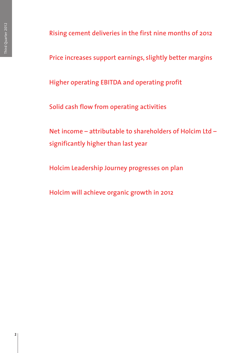**Rising cement deliveries in the first nine months of 2012**

**Price increases support earnings, slightly better margins**

**Higher operating EBITDA and operating profit**

**Solid cash flow from operating activities**

**Net income – attributable to shareholders of Holcim Ltd – significantly higher than last year**

**Holcim Leadership Journey progresses on plan**

**Holcim will achieve organic growth in 2012**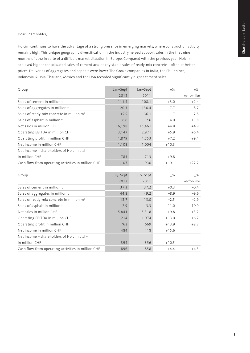#### Dear Shareholder,

Holcim continues to have the advantage of a strong presence in emerging markets, where construction activity remains high. This unique geographic diversification in the industry helped support sales in the first nine months of 2012 in spite of a difficult market situation in Europe. Compared with the previous year, Holcim achieved higher consolidated sales of cement and nearly stable sales of ready-mix concrete – often at better prices. Deliveries of aggregates and asphalt were lower. The Group companies in India, the Philippines, Indonesia, Russia, Thailand, Mexico and the USA recorded significantly higher cement sales.

| Group                                                 | Jan-Sept | Jan-Sept | $+$ %   | $+$ %         |
|-------------------------------------------------------|----------|----------|---------|---------------|
|                                                       | 2012     | 2011     |         | like-for-like |
| Sales of cement in million t                          | 111.4    | 108.1    | $+3.0$  | $+2.4$        |
| Sales of aggregates in million t                      | 120.3    | 130.4    | $-7.7$  | $-8.7$        |
| Sales of ready-mix concrete in million m <sup>3</sup> | 35.5     | 36.1     | $-1.7$  | $-2.8$        |
| Sales of asphalt in million t                         | 6.6      | 7.6      | $-14.0$ | $-13.8$       |
| Net sales in million CHF                              | 16,198   | 15,461   | $+4.8$  | $+4.9$        |
| Operating EBITDA in million CHF                       | 3,147    | 2,971    | $+5.9$  | $+6.4$        |
| Operating profit in million CHF                       | 1,879    | 1,753    | $+7.2$  | $+9.4$        |
| Net income in million CHF                             | 1,108    | 1,004    | $+10.3$ |               |
| Net income – shareholders of Holcim Ltd –             |          |          |         |               |
| in million CHF                                        | 783      | 713      | $+9.8$  |               |
| Cash flow from operating activities in million CHF    | 1,107    | 930      | $+19.1$ | $+22.7$       |

| July-Sept | July-Sept | $\pm\%$ | $\pm\%$       |
|-----------|-----------|---------|---------------|
| 2012      | 2011      |         | like-for-like |
| 37.3      | 37.2      | $+0.3$  | $-0.4$        |
| 44.8      | 49.2      | $-8.9$  | $-9.6$        |
| 12.7      | 13.0      | $-2.5$  | $-2.9$        |
| 2.9       | 3.3       | $-11.0$ | $-10.9$       |
| 5,841     | 5,318     | $+9.8$  | $+3.2$        |
| 1,214     | 1,074     | $+13.0$ | $+6.7$        |
| 762       | 669       | $+13.9$ | $+8.7$        |
| 484       | 418       | $+15.6$ |               |
|           |           |         |               |
| 394       | 356       | $+10.5$ |               |
| 896       | 858       | $+4.4$  | $+4.3$        |
|           |           |         |               |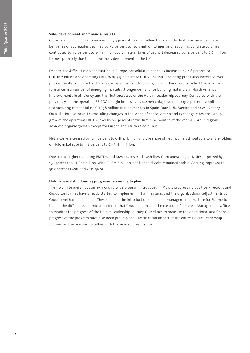#### **Sales development and financial results**

Consolidated cement sales increased by 3 percent to 111.4 million tonnes in the first nine months of 2012. Deliveries of aggregates declined by 7.7 percent to 120.3 million tonnes, and ready-mix concrete volumes contracted by 1.7 percent to 35.5 million cubic meters. Sales of asphalt decreased by 14 percent to 6.6 million tonnes, primarily due to poor business development in the UK.

Despite the difficult market situation in Europe, consolidated net sales increased by 4.8 percent to CHF 16.2 billion and operating EBITDA by 5.9 percent to CHF 3.1 billion. Operating profit also increased over proportionally compared with net sales by 7.2 percent to CHF 1.9 billion. These results reflect the solid performance in a number of emerging markets, stronger demand for building materials in North America, improvements in efficiency, and the first successes of the Holcim Leadership Journey. Compared with the previous year, the operating EBITDA margin improved by 0.2 percentage points to 19.4 percent, despite restructuring costs totaling CHF 58 million in nine months in Spain, Brazil, UK, Mexico and now Hungary. On a like-for-like basis, i.e. excluding changes in the scope of consolidation and exchange rates, the Group grew at the operating EBITDA level by 6.4 percent in the first nine months of the year. All Group regions achieved organic growth except for Europe and Africa Middle East.

Net income increased by 10.3 percent to CHF 1.1 billion and the share of net income attributable to shareholders of Holcim Ltd rose by 9.8 percent to CHF 783 million.

Due to the higher operating EBITDA and lower taxes paid, cash flow from operating activities improved by 19.1 percent to CHF 1.1 billion. With CHF 11.6 billion, net financial debt remained stable. Gearing improved to 56.3 percent (year-end 2011: 58.8).

#### **Holcim Leadership Journey progresses according to plan**

The Holcim Leadership Journey, a Group-wide program introduced in May, is progressing positively. Regions and Group companies have already started to implement initial measures and the organizational adjustments at Group level have been made. These include the introduction of a leaner management structure for Europe to handle the difficult economic situation in that Group region, and the creation of a Project Management Office to monitor the progress of the Holcim Leadership Journey. Guidelines to measure the operational and financial progress of the program have also been put in place. The financial impact of the entire Holcim Leadership Journey will be released together with the year-end results 2012.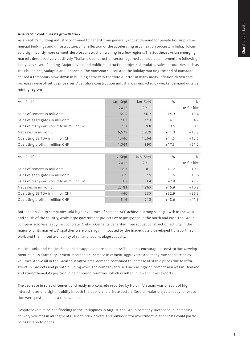#### **Asia Pacific continues its growth track**

Asia Pacific's building industry continued to benefit from generally robust demand for private housing, commercial buildings and infrastructure, all a reflection of the accelerating urbanization process. In India, Holcim sold significantly more cement, despite construction waning in a few regions. The Southeast Asian emerging markets developed very positively. Thailand's construction sector regained considerable momentum following last year's severe flooding. Major private and public construction projects stimulated sales in countries such as the Philippines, Malaysia and Indonesia. The monsoon season and the holiday marking the end of Ramadan caused a temporary slow-down in building activity in the third quarter. In many areas, inflation-driven cost increases were offset by price rises. Australia's construction industry was impacted by weaker demand outside mining regions.

| Asia Pacific                                          | Jan-Sept | Jan-Sept | $+$ %   | $+$ %         |
|-------------------------------------------------------|----------|----------|---------|---------------|
|                                                       | 2012     | 2011     |         | like-for-like |
| Sales of cement in million t                          | 59.5     | 56.2     | $+5.9$  | $+5.4$        |
| Sales of aggregates in million t                      | 21.2     | 22.3     | $-47$   | $-4.7$        |
| Sales of ready-mix concrete in million m <sup>3</sup> | 9.7      | 9.8      | $-0.5$  | $-0.5$        |
| Net sales in million CHF                              | 6,579    | 5,929    | $+11.0$ | $+12.8$       |
| Operating EBITDA in million CHF                       | 1,446    | 1,264    | $+14.5$ | $+17.5$       |
| Operating profit in million CHF                       | 1.044    | 890      | $+17.3$ | $+21.2$       |
|                                                       |          |          |         |               |

| Asia Pacific                                          | July-Sept | July-Sept | $+$ %   | $+$ %         |
|-------------------------------------------------------|-----------|-----------|---------|---------------|
|                                                       | 2012      | 2011      |         | like-for-like |
| Sales of cement in million t                          | 18.3      | 18.1      | $+1.2$  | $+0.8$        |
| Sales of aggregates in million t                      | 6.9       | 7.9       | $-11.6$ | $-11.6$       |
| Sales of ready-mix concrete in million m <sup>3</sup> | 3.5       | 3.4       | $+2.8$  | $+2.8$        |
| Net sales in million CHF                              | 2.181     | 1,865     | $+16.9$ | $+10.8$       |
| Operating EBITDA in million CHF                       | 446       | 335       | $+32.9$ | $+26.3$       |
| Operating profit in million CHF                       | 316       | 212       | $+48.6$ | $+41.6$       |

Both Indian Group companies sold higher volumes of cement. ACC achieved strong sales growth in the west and south of the country, while large government projects were postponed in the north and east. The Group company sold less ready-mix concrete. Ambuja Cements benefited from robust construction activity in the majority of its markets. Dispatches were once again impacted by the inadequately developed transport network and the limited availability of rail and road haulage capacity.

Holcim Lanka and Holcim Bangladesh supplied more cement. As Thailand's encouraging construction development held up, Siam City Cement recorded an increase in cement, aggregates and ready-mix concrete sales volumes. Above all in the Greater Bangkok area, demand continued to increase at stable prices due to infrastructure projects and private building work. The company focused increasingly on cement markets in Thailand and strengthened its position in neighboring countries, which resulted in lower clinker exports.

The decrease in sales of cement and ready-mix concrete reported by Holcim Vietnam was a result of high interest rates and tight liquidity in both the public and private sectors. Several major projects ready for execution were postponed as a consequence.

Despite severe rains and flooding in the Philippines in August, the Group company succeeded in increasing delivery volumes in all segments. Due to brisk private and public-sector investment, higher costs could partly be passed on to prices.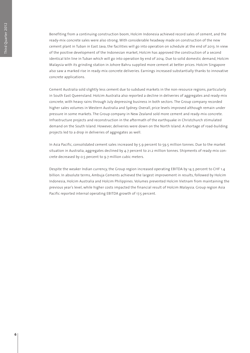Benefiting from a continuing construction boom, Holcim Indonesia achieved record sales of cement, and the ready-mix concrete sales were also strong. With considerable headway made on construction of the new cement plant in Tuban in East Java, the facilities will go into operation on schedule at the end of 2013. In view of the positive development of the Indonesian market, Holcim has approved the construction of a second identical kiln line in Tuban which will go into operation by end of 2014. Due to solid domestic demand, Holcim Malaysia with its grinding station in Johore Bahru supplied more cement at better prices. Holcim Singapore also saw a marked rise in ready-mix concrete deliveries. Earnings increased substantially thanks to innovative concrete applications.

Cement Australia sold slightly less cement due to subdued markets in the non-resource regions, particularly in South East Queensland. Holcim Australia also reported a decline in deliveries of aggregates and ready-mix concrete, with heavy rains through July depressing business in both sectors. The Group company recorded higher sales volumes in Western Australia and Sydney. Overall, price levels improved although remain under pressure in some markets. The Group company in New Zealand sold more cement and ready-mix concrete. Infrastructure projects and reconstruction in the aftermath of the earthquake in Christchurch stimulated demand on the South Island. However, deliveries were down on the North Island. A shortage of road-building projects led to a drop in deliveries of aggregates as well.

In Asia Pacific, consolidated cement sales increased by 5.9 percent to 59.5 million tonnes. Due to the market situation in Australia, aggregates declined by 4.7 percent to 21.2 million tonnes. Shipments of ready-mix concrete decreased by 0.5 percent to 9.7 million cubic meters.

Despite the weaker Indian currency, the Group region increased operating EBITDA by 14.5 percent to CHF 1.4 billion. In absolute terms, Ambuja Cements achieved the largest improvement in results, followed by Holcim Indonesia, Holcim Australia and Holcim Philippines. Volumes prevented Holcim Vietnam from maintaining the previous year's level, while higher costs impacted the financial result of Holcim Malaysia. Group region Asia Pacific reported internal operating EBITDA growth of 17.5 percent.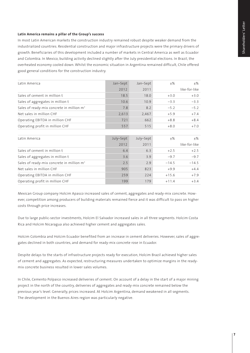#### **Latin America remains a pillar of the Group's success**

In most Latin American markets the construction industry remained robust despite weaker demand from the industrialized countries. Residential construction and major infrastructure projects were the primary drivers of growth. Beneficiaries of this development included a number of markets in Central America as well as Ecuador and Colombia. In Mexico, building activity declined slightly after the July presidential elections. In Brazil, the overheated economy cooled down. Whilst the economic situation in Argentina remained difficult, Chile offered good general conditions for the construction industry.

| Latin America                                         | Jan-Sept | Jan-Sept | $+$ %  | $+$ %         |
|-------------------------------------------------------|----------|----------|--------|---------------|
|                                                       | 2012     | 2011     |        | like-for-like |
| Sales of cement in million t                          | 18.5     | 18.0     | $+3.0$ | $+3.0$        |
| Sales of aggregates in million t                      | 10.6     | 10.9     | $-3.3$ | $-3.3$        |
| Sales of ready-mix concrete in million m <sup>3</sup> | 7.8      | 8.2      | $-5.2$ | $-5.2$        |
| Net sales in million CHF                              | 2,613    | 2,467    | $+5.9$ | $+7.4$        |
| Operating EBITDA in million CHF                       | 721      | 662      | $+8.8$ | $+8.4$        |
| Operating profit in million CHF                       | 557      | 515      | $+8.0$ | $+7.0$        |

| Latin America                                         | July-Sept | July-Sept | $+$ %   | $+$ %         |
|-------------------------------------------------------|-----------|-----------|---------|---------------|
|                                                       | 2012      | 2011      |         | like-for-like |
| Sales of cement in million t                          | 6.4       | 6.3       | $+2.5$  | $+2.5$        |
| Sales of aggregates in million t                      | 3.6       | 3.9       | $-9.7$  | $-9.7$        |
| Sales of ready-mix concrete in million m <sup>3</sup> | 2.5       | 2.9       | $-14.5$ | $-14.5$       |
| Net sales in million CHF                              | 905       | 823       | $+9.9$  | $+4.4$        |
| Operating EBITDA in million CHF                       | 259       | 224       | $+15.6$ | $+7.9$        |
| Operating profit in million CHF                       | 199       | 179       | $+11.4$ | $+34$         |

Mexican Group company Holcim Apasco increased sales of cement, aggregates and ready-mix concrete. However, competition among producers of building materials remained fierce and it was difficult to pass on higher costs through price increases.

Due to large public-sector investments, Holcim El Salvador increased sales in all three segments. Holcim Costa Rica and Holcim Nicaragua also achieved higher cement and aggregates sales.

Holcim Colombia and Holcim Ecuador benefited from an increase in cement deliveries. However, sales of aggregates declined in both countries, and demand for ready-mix concrete rose in Ecuador.

Despite delays to the starts of infrastructure projects ready for execution, Holcim Brazil achieved higher sales of cement and aggregates. As expected, restructuring measures undertaken to optimize margins in the readymix concrete business resulted in lower sales volumes.

In Chile, Cemento Polpaico increased deliveries of cement. On account of a delay in the start of a major mining project in the north of the country, deliveries of aggregates and ready-mix concrete remained below the previous year's level. Generally, prices increased. At Holcim Argentina, demand weakened in all segments. The development in the Buenos Aires region was particularly negative.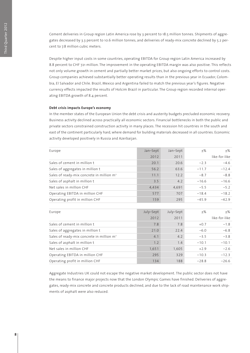Cement deliveries in Group region Latin America rose by 3 percent to 18.5 million tonnes. Shipments of aggregates decreased by 3.3 percent to 10.6 million tonnes, and deliveries of ready-mix concrete declined by 5.2 percent to 7.8 million cubic meters.

Despite higher input costs in some countries, operating EBITDA for Group region Latin America increased by 8.8 percent to CHF 721 million. The improvement in the operating EBITDA margin was also positive. This reflects not only volume growth in cement and partially better market prices, but also ongoing efforts to control costs. Group companies achieved substantially better operating results than in the previous year in Ecuador, Colombia, El Salvador and Chile. Brazil, Mexico and Argentina failed to match the previous year's figures. Negative currency effects impacted the results of Holcim Brazil in particular. The Group region recorded internal operating EBITDA growth of 8.4 percent.

#### **Debt crisis impacts Europe's economy**

In the member states of the European Union the debt crisis and austerity budgets precluded economic recovery. Business activity declined across practically all economic sectors. Financial bottlenecks in both the public and private sectors constrained construction activity in many places. The recession hit countries in the south and east of the continent particularly hard, where demand for building materials decreased in all countries. Economic activity developed positively in Russia and Azerbaijan.

| Europe                                                | Jan-Sept  | Jan-Sept  | $\pm\%$ | $\pm\%$       |
|-------------------------------------------------------|-----------|-----------|---------|---------------|
|                                                       | 2012      | 2011      |         | like-for-like |
| Sales of cement in million t                          | 20.1      | 20.6      | $-2.3$  | $-4.6$        |
| Sales of aggregates in million t                      | 56.2      | 63.6      | $-11.7$ | $-12.4$       |
| Sales of ready-mix concrete in million m <sup>3</sup> | 11.1      | 12.2      | $-8.7$  | $-8.8$        |
| Sales of asphalt in million t                         | 3.5       | 4.2       | $-16.6$ | $-16.6$       |
| Net sales in million CHF                              | 4,434     | 4,691     | $-5.5$  | $-5.2$        |
| Operating EBITDA in million CHF                       | 577       | 707       | $-18.4$ | $-18.2$       |
| Operating profit in million CHF                       | 159       | 295       | $-45.9$ | $-42.9$       |
|                                                       |           |           |         |               |
| Europe                                                | July-Sept | July-Sept | $\pm\%$ | $\pm\%$       |
|                                                       | 2012      | 2011      |         | like-for-like |
| Sales of cement in million t                          | 7.8       | 7.8       | $+0.7$  | $-1.8$        |
| Sales of aggregates in million t                      | 21.0      | 22.4      | $-6.0$  | $-6.8$        |
| Sales of ready-mix concrete in million m <sup>3</sup> | 4.1       | 4.2       | $-3.5$  | $-3.8$        |
| Sales of asphalt in million t                         | 1.2       | 1.4       | $-10.1$ | $-10.1$       |
| Net sales in million CHF                              | 1,651     | 1,605     | $+2.9$  | $-2.6$        |
| Operating EBITDA in million CHF                       | 295       | 329       | $-10.3$ | $-12.3$       |
| Operating profit in million CHF                       | 134       | 188       | $-28.8$ | $-26.6$       |

Aggregate Industries UK could not escape the negative market development. The public sector does not have the means to finance major projects now that the London Olympic Games have finished. Deliveries of aggregates, ready-mix concrete and concrete products declined, and due to the lack of road maintenance work shipments of asphalt were also reduced.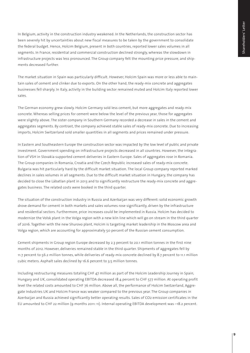In Belgium, activity in the construction industry weakened. In the Netherlands, the construction sector has been severely hit by uncertainties about new fiscal measures to be taken by the government to consolidate the federal budget. Hence, Holcim Belgium, present in both countries, reported lower sales volumes in all segments. In France, residential and commercial construction declined strongly, whereas the slowdown in infrastructure projects was less pronounced. The Group company felt the mounting price pressure, and shipments decreased further.

The market situation in Spain was particularly difficult. However, Holcim Spain was more or less able to maintain sales of cement and clinker due to exports. On the other hand, the ready-mix concrete and aggregates businesses fell sharply. In Italy, activity in the building sector remained muted and Holcim Italy reported lower sales.

The German economy grew slowly. Holcim Germany sold less cement, but more aggregates and ready-mix concrete. Whereas selling prices for cement were below the level of the previous year, those for aggregates were slightly above. The sister company in Southern Germany recorded a decrease in sales in the cement and aggregates segments. By contrast, the company achieved stable sales of ready-mix concrete. Due to increasing imports, Holcim Switzerland sold smaller quantities in all segments and prices remained under pressure.

In Eastern and Southeastern Europe the construction sector was impacted by the low level of public and private investment. Government spending on infrastructure projects decreased in all countries. However, the integration of VSH in Slovakia supported cement deliveries in Eastern Europe. Sales of aggregates rose in Romania. The Group companies in Romania, Croatia and the Czech Republic increased sales of ready-mix concrete. Bulgaria was hit particularly hard by the difficult market situation. The local Group company reported marked declines in sales volumes in all segments. Due to the difficult market situation in Hungary, the company has decided to close the Lábatlan plant in 2013 and to significantly restructure the ready-mix concrete and aggregates business. The related costs were booked in the third quarter.

The situation of the construction industry in Russia and Azerbaijan was very different: solid economic growth drove demand for cement in both markets and sales volumes rose significantly, driven by the infrastructure and residential sectors. Furthermore, price increases could be implemented in Russia. Holcim has decided to modernize the Volsk plant in the Volga region with a new kiln line which will go on stream in the third quarter of 2016. Together with the new Shurovo plant, Holcim is targeting market leadership in the Moscow area and Volga region, which are accounting for approximately 50 percent of the Russian cement consumption.

Cement shipments in Group region Europe decreased by 2.3 percent to 20.1 million tonnes in the first nine months of 2012. However, deliveries remained stable in the third quarter. Shipments of aggregates fell by 11.7 percent to 56.2 million tonnes, while deliveries of ready-mix concrete declined by 8.7 percent to 11.1 million cubic meters. Asphalt sales declined by 16.6 percent to 3.5 million tonnes.

Including restructuring measures totaling CHF 47 million as part of the Holcim Leadership Journey in Spain, Hungary and UK, consolidated operating EBITDA decreased 18.4 percent to CHF 577 million. At operating profit level the related costs amounted to CHF 76 million. Above all, the performance of Holcim Switzerland, Aggregate Industries UK and Holcim France was weaker compared to the previous year. The Group companies in Azerbaijan and Russia achieved significantly better operating results. Sales of CO2 emission certificates in the EU amounted to CHF 22 million (9 months 2011: 11). Internal operating EBITDA development was –18.2 percent.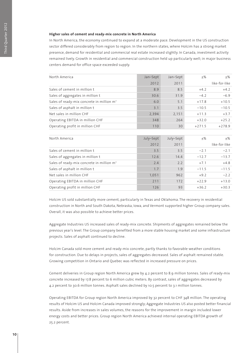#### **Higher sales of cement and ready-mix concrete in North America**

In North America, the economy continued to expand at a moderate pace. Development in the US construction sector differed considerably from region to region. In the northern states, where Holcim has a strong market presence, demand for residential and commercial real estate increased slightly. In Canada, investment activity remained lively. Growth in residential and commercial construction held up particularly well; in major business centers demand for office space exceeded supply.

| North America                                         | Jan-Sept | Jan-Sept | ±%       | $\pm\%$       |
|-------------------------------------------------------|----------|----------|----------|---------------|
|                                                       | 2012     | 2011     |          | like-for-like |
| Sales of cement in million t                          | 8.9      | 8.5      | $+4.2$   | $+4.2$        |
| Sales of aggregates in million t                      | 30.6     | 31.9     | $-4.2$   | $-6.9$        |
| Sales of ready-mix concrete in million m <sup>3</sup> | 6.0      | 5.1      | $+17.8$  | $+10.5$       |
| Sales of asphalt in million t                         | 3.1      | 3.5      | $-10.5$  | $-10.5$       |
| Net sales in million CHF                              | 2,394    | 2,151    | $+11.3$  | $+3.7$        |
| Operating EBITDA in million CHF                       | 348      | 264      | $+32.0$  | $+25.2$       |
| Operating profit in million CHF                       | 110      | 30       | $+271.5$ | $+278.9$      |
|                                                       |          |          |          |               |

| North America                                         | July-Sept | July-Sept | $+$ %   | $+$ %         |
|-------------------------------------------------------|-----------|-----------|---------|---------------|
|                                                       | 2012      | 2011      |         | like-for-like |
| Sales of cement in million t                          | 3.5       | 3.5       | $-2.1$  | $-2.1$        |
| Sales of aggregates in million t                      | 12.6      | 14.4      | $-12.7$ | $-13.7$       |
| Sales of ready-mix concrete in million m <sup>3</sup> | 2.4       | 2.2       | $+7.1$  | $+4.8$        |
| Sales of asphalt in million t                         | 1.7       | 1.9       | $-11.5$ | $-11.5$       |
| Net sales in million CHF                              | 1,051     | 962       | $+9.2$  | $-2.2$        |
| Operating EBITDA in million CHF                       | 211       | 172       | $+22.9$ | $+13.0$       |
| Operating profit in million CHF                       | 126       | 93        | $+36.2$ | $+30.3$       |

Holcim US sold substantially more cement, particularly in Texas and Oklahoma. The recovery in residential construction in North and South Dakota, Nebraska, Iowa, and Vermont supported higher Group company sales. Overall, it was also possible to achieve better prices.

Aggregate Industries US increased sales of ready-mix concrete. Shipments of aggregates remained below the previous year's level. The Group company benefited from a more stable housing market and some infrastructure projects. Sales of asphalt continued to decline.

Holcim Canada sold more cement and ready-mix concrete, partly thanks to favorable weather conditions for construction. Due to delays in projects, sales of aggregates decreased. Sales of asphalt remained stable. Growing competition in Ontario and Quebec was reflected in increased pressure on prices.

Cement deliveries in Group region North America grew by 4.2 percent to 8.9 million tonnes. Sales of ready-mix concrete increased by 17.8 percent to 6 million cubic meters. By contrast, sales of aggregates decreased by 4.2 percent to 30.6 million tonnes. Asphalt sales declined by 10.5 percent to 3.1 million tonnes.

Operating EBITDA for Group region North America improved by 32 percent to CHF 348 million. The operating results of Holcim US and Holcim Canada improved strongly; Aggregate Industries US also posted better financial results. Aside from increases in sales volumes, the reasons for the improvement in margin included lower energy costs and better prices. Group region North America achieved internal operating EBITDA growth of 25.2 percent.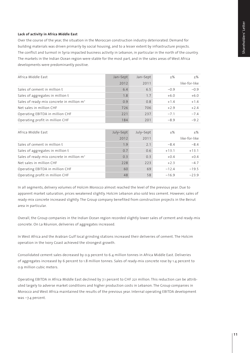#### **Lack of activity in Africa Middle East**

Over the course of the year, the situation in the Moroccan construction industry deteriorated. Demand for building materials was driven primarily by social housing, and to a lesser extent by infrastructure projects. The conflict and turmoil in Syria impacted business activity in Lebanon, in particular in the north of the country. The markets in the Indian Ocean region were stable for the most part, and in the sales areas of West Africa developments were predominantly positive.

| Africa Middle East                                    | Jan-Sept | Jan-Sept | $+$ %  | $+$ %         |
|-------------------------------------------------------|----------|----------|--------|---------------|
|                                                       | 2012     | 2011     |        | like-for-like |
| Sales of cement in million t                          | 6.4      | 6.5      | $-0.9$ | $-0.9$        |
| Sales of aggregates in million t                      | 1.8      | 1.7      | $+6.0$ | $+6.0$        |
| Sales of ready-mix concrete in million m <sup>3</sup> | 0.9      | 0.8      | $+1.4$ | $+1.4$        |
| Net sales in million CHF                              | 726      | 706      | $+2.9$ | $+2.4$        |
| Operating EBITDA in million CHF                       | 221      | 237      | $-7.1$ | $-7.4$        |
| Operating profit in million CHF                       | 184      | 201      | $-8.9$ | $-9.2$        |

| Africa Middle East                                    | July-Sept | July-Sept | $+$ %   | $+$ %         |
|-------------------------------------------------------|-----------|-----------|---------|---------------|
|                                                       | 2012      | 2011      |         | like-for-like |
| Sales of cement in million t                          | 1.9       | 2.1       | $-8.4$  | $-8.4$        |
| Sales of aggregates in million t                      | 0.7       | 0.6       | $+13.1$ | $+13.1$       |
| Sales of ready-mix concrete in million m <sup>3</sup> | 0.3       | 0.3       | $+0.4$  | $+0.4$        |
| Net sales in million CHF                              | 228       | 223       | $+2.3$  | $-47$         |
| Operating EBITDA in million CHF                       | 60        | 69        | $-12.4$ | $-19.5$       |
| Operating profit in million CHF                       | 48        | 58        | $-16.9$ | $-239$        |

In all segments, delivery volumes of Holcim Morocco almost reached the level of the previous year. Due to apparent market saturation, prices weakened slightly. Holcim Lebanon also sold less cement. However, sales of ready-mix concrete increased slightly. The Group company benefited from construction projects in the Beirut area in particular.

Overall, the Group companies in the Indian Ocean region recorded slightly lower sales of cement and ready-mix concrete. On La Réunion, deliveries of aggregates increased.

In West Africa and the Arabian Gulf local grinding stations increased their deliveries of cement. The Holcim operation in the Ivory Coast achieved the strongest growth.

Consolidated cement sales decreased by 0.9 percent to 6.4 million tonnes in Africa Middle East. Deliveries of aggregates increased by 6 percent to 1.8 million tonnes. Sales of ready-mix concrete rose by 1.4 percent to 0.9 million cubic meters.

Operating EBITDA in Africa Middle East declined by 7.1 percent to CHF 221 million. This reduction can be attributed largely to adverse market conditions and higher production costs in Lebanon. The Group companies in Morocco and West Africa maintained the results of the previous year. Internal operating EBITDA development was –7.4 percent.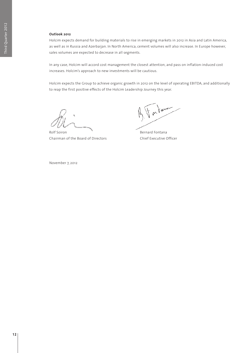#### **Outlook 2012**

Holcim expects demand for building materials to rise in emerging markets in 2012 in Asia and Latin America, as well as in Russia and Azerbaijan. In North America, cement volumes will also increase. In Europe however, sales volumes are expected to decrease in all segments.

In any case, Holcim will accord cost management the closest attention, and pass on inflation-induced cost increases. Holcim's approach to new investments will be cautious.

Holcim expects the Group to achieve organic growth in 2012 on the level of operating EBITDA, and additionally to reap the first positive effects of the Holcim Leadership Journey this year.

Rolf Soiron **Bernard Fontana** Chairman of the Board of Directors Chief Executive Officer

For law

November 7, 2012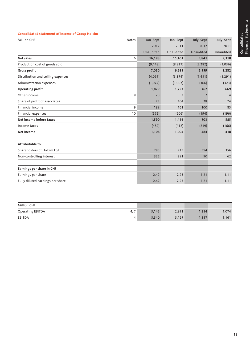#### **Consolidated statement of income of Group Holcim**

| <b>Million CHF</b>                | <b>Notes</b> | Jan-Sept  | Jan-Sept       | July-Sept | July-Sept      |  |
|-----------------------------------|--------------|-----------|----------------|-----------|----------------|--|
|                                   |              | 2012      | 2011           | 2012      | 2011           |  |
|                                   |              | Unaudited | Unaudited      | Unaudited | Unaudited      |  |
| Net sales                         | 6            | 16,198    | 15,461         | 5,841     | 5,318          |  |
| Production cost of goods sold     |              | (9, 148)  | (8,827)        | (3, 282)  | (3,036)        |  |
| <b>Gross profit</b>               |              | 7,050     | 6,633          | 2,559     | 2,282          |  |
| Distribution and selling expenses |              | (4,097)   | (3,874)        | (1, 431)  | (1, 291)       |  |
| Administration expenses           |              | (1,074)   | (1,007)        | (366)     | (323)          |  |
| <b>Operating profit</b>           |              | 1,879     | 1,753          | 762       | 669            |  |
| Other income                      | 8            | 20        | $\overline{3}$ | 7         | $\overline{4}$ |  |
| Share of profit of associates     |              | 73        | 104            | 28        | 24             |  |
| Financial income                  | 9            | 189       | 161            | 100       | 85             |  |
| <b>Financial expenses</b>         | 10           | (572)     | (606)          | (194)     | (196)          |  |
| Net income before taxes           |              | 1,590     | 1,416          | 703       | 585            |  |
| Income taxes                      |              | (482)     | (412)          | (219)     | (166)          |  |
| Net income                        |              | 1,108     | 1,004          | 484       | 418            |  |
|                                   |              |           |                |           |                |  |
| Attributable to:                  |              |           |                |           |                |  |
| Shareholders of Holcim Ltd        |              | 783       | 713            | 394       | 356            |  |
| Non-controlling interest          |              | 325       | 291            | 90        | 62             |  |
|                                   |              |           |                |           |                |  |
| Earnings per share in CHF         |              |           |                |           |                |  |
| Earnings per share                |              | 2.42      | 2.23           | 1.21      | 1.11           |  |
| Fully diluted earnings per share  |              | 2.42      | 2.23           | 1.21      | 1.11           |  |

| <b>Million CHF</b> |     |       |       |       |       |
|--------------------|-----|-------|-------|-------|-------|
| Operating EBITDA   | 4,7 | 3,147 | 2,971 | 1,214 | 1,074 |
| EBITDA             |     | 3,340 | 3,167 | 1,317 | 1,161 |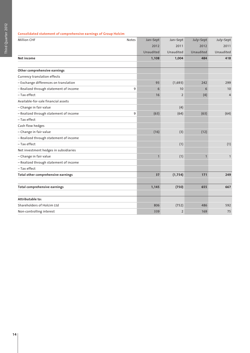#### **Consolidated statement of comprehensive earnings of Group Holcim**

| <b>Million CHF</b>                     | <b>Notes</b> | Jan-Sept     | Jan-Sept       | July-Sept    | July-Sept      |  |
|----------------------------------------|--------------|--------------|----------------|--------------|----------------|--|
|                                        |              | 2012         | 2011           | 2012         | 2011           |  |
|                                        |              | Unaudited    | Unaudited      | Unaudited    | Unaudited      |  |
| <b>Net income</b>                      |              | 1,108        | 1,004          | 484          | 418            |  |
|                                        |              |              |                |              |                |  |
| Other comprehensive earnings           |              |              |                |              |                |  |
| Currency translation effects           |              |              |                |              |                |  |
| - Exchange differences on translation  |              | 93           | (1,693)        | 242          | 299            |  |
| - Realized through statement of income | 9            | 6            | 10             | 6            | 10             |  |
| - Tax effect                           |              | 16           | $\overline{2}$ | (4)          | $\overline{4}$ |  |
| Available-for-sale financial assets    |              |              |                |              |                |  |
| - Change in fair value                 |              |              | (4)            |              |                |  |
| - Realized through statement of income | 9            | (63)         | (64)           | (63)         | (64)           |  |
| - Tax effect                           |              |              |                |              |                |  |
| Cash flow hedges                       |              |              |                |              |                |  |
| - Change in fair value                 |              | (16)         | (3)            | (12)         |                |  |
| - Realized through statement of income |              |              |                |              |                |  |
| - Tax effect                           |              |              | (1)            |              | (1)            |  |
| Net investment hedges in subsidiaries  |              |              |                |              |                |  |
| - Change in fair value                 |              | $\mathbf{1}$ | (1)            | $\mathbf{1}$ | $\mathbf{1}$   |  |
| - Realized through statement of income |              |              |                |              |                |  |
| - Tax effect                           |              |              |                |              |                |  |
| Total other comprehensive earnings     |              | 37           | (1, 754)       | 171          | 249            |  |
|                                        |              |              |                |              |                |  |
| <b>Total comprehensive earnings</b>    |              | 1,145        | (750)          | 655          | 667            |  |
|                                        |              |              |                |              |                |  |
| Attributable to:                       |              |              |                |              |                |  |
| Shareholders of Holcim Ltd             |              | 806          | (752)          | 486          | 592            |  |
| Non-controlling interest               |              | 339          | $\overline{2}$ | 169          | 75             |  |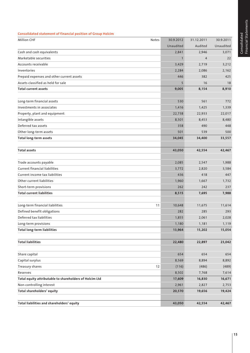#### **Consolidated statement of financial position of Group Holcim**

| <b>Million CHF</b><br>Notes                             | 30.9.2012    | 31.12.2011 | 30.9.2011 |
|---------------------------------------------------------|--------------|------------|-----------|
|                                                         | Unaudited    | Audited    | Unaudited |
| Cash and cash equivalents                               | 2,841        | 2,946      | 3,071     |
| Marketable securities                                   | $\mathbf{1}$ | 4          | 22        |
| Accounts receivable                                     | 3,429        | 2,719      | 3,212     |
| Inventories                                             | 2,284        | 2,086      | 2,162     |
| Prepaid expenses and other current assets               | 446          | 382        | 425       |
| Assets classified as held for sale                      | 5            | 16         | 18        |
| <b>Total current assets</b>                             | 9,005        | 8,154      | 8,910     |
| Long-term financial assets                              | 530          | 561        | 772       |
| Investments in associates                               | 1,416        | 1,425      | 1,339     |
| Property, plant and equipment                           | 22,738       | 22,933     | 22,017    |
| Intangible assets                                       | 8,501        | 8,453      | 8,480     |
| Deferred tax assets                                     | 358          | 490        | 448       |
| Other long-term assets                                  | 501          | 539        | 500       |
| <b>Total long-term assets</b>                           | 34,045       | 34,400     | 33,557    |
| <b>Total assets</b>                                     | 43,050       | 42,554     | 42,467    |
|                                                         |              |            |           |
| Trade accounts payable                                  | 2,085        | 2,547      | 1,988     |
| <b>Current financial liabilities</b>                    | 3,772        | 2,820      | 3,584     |
| Current income tax liabilities                          | 436          | 418        | 447       |
| Other current liabilities                               | 1,960        | 1,667      | 1,732     |
| Short-term provisions                                   | 262          | 242        | 237       |
| <b>Total current liabilities</b>                        | 8,515        | 7,695      | 7,988     |
| Long-term financial liabilities<br>11                   | 10,648       | 11,675     | 11,614    |
| Defined benefit obligations                             | 282          | 285        | 293       |
| Deferred tax liabilities                                | 1,855        | 2,061      | 2,028     |
| Long-term provisions                                    | 1,180        | 1,181      | 1,119     |
| <b>Total long-term liabilities</b>                      | 13,964       | 15,202     | 15,054    |
| <b>Total liabilities</b>                                | 22,480       | 22,897     | 23,042    |
|                                                         |              |            |           |
| Share capital                                           | 654          | 654        | 654       |
| Capital surplus                                         | 8,569        | 8,894      | 8,892     |
| 12<br>Treasury shares                                   | (116)        | (486)      | (489)     |
| Reserves                                                | 8,502        | 7,768      | 7,614     |
| Total equity attributable to shareholders of Holcim Ltd | 17,609       | 16,830     | 16,671    |
| Non-controlling interest                                | 2,961        | 2,827      | 2,753     |
| Total shareholders' equity                              | 20,570       | 19,656     | 19,424    |
| Total liabilities and shareholders' equity              | 43,050       | 42,554     | 42,467    |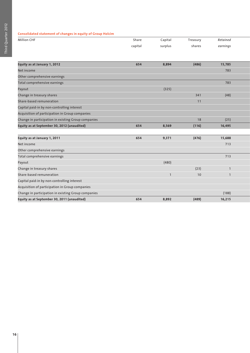#### **Consolidated statement of changes in equity of Group Holcim**

| <b>Million CHF</b> | Share   | Capital | Treasury | Retained |  |
|--------------------|---------|---------|----------|----------|--|
|                    | capital | surplus | shares   | earnings |  |
|                    |         |         |          |          |  |

| Equity as at January 1, 2012                        | 654 | 8,894          | (486) | 15,785         |
|-----------------------------------------------------|-----|----------------|-------|----------------|
| Net income                                          |     |                |       | 783            |
| Other comprehensive earnings                        |     |                |       |                |
| Total comprehensive earnings                        |     |                |       | 783            |
| Payout                                              |     | (325)          |       |                |
| Change in treasury shares                           |     |                | 341   | (48)           |
| Share-based remuneration                            |     |                | 11    |                |
| Capital paid-in by non-controlling interest         |     |                |       |                |
| Acquisition of participation in Group companies     |     |                |       |                |
| Change in participation in existing Group companies |     |                | 18    | (25)           |
| Equity as at September 30, 2012 (unaudited)         | 654 | 8,569          | (116) | 16,495         |
|                                                     |     |                |       |                |
| Equity as at January 1, 2011                        | 654 | 9,371          | (476) | 15,688         |
| Net income                                          |     |                |       | 713            |
| Other comprehensive earnings                        |     |                |       |                |
| Total comprehensive earnings                        |     |                |       | 713            |
| Payout                                              |     | (480)          |       |                |
| Change in treasury shares                           |     |                | (23)  |                |
| Share-based remuneration                            |     | $\overline{1}$ | 10    | $\overline{1}$ |
| Capital paid-in by non-controlling interest         |     |                |       |                |
| Acquisition of participation in Group companies     |     |                |       |                |
| Change in participation in existing Group companies |     |                |       | (188)          |
| Equity as at September 30, 2011 (unaudited)         | 654 | 8,892          | (489) | 16,215         |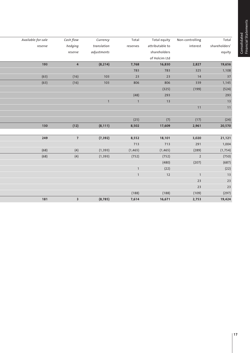Consolidated<br>Financial Statements Financial Statements Consolidated

| Total         | Non-controlling | Total equity    | Total          | Currency     | Cash flow               | Available-for-sale |
|---------------|-----------------|-----------------|----------------|--------------|-------------------------|--------------------|
| shareholders' | interest        | attributable to | reserves       | translation  | hedging                 | reserve            |
| equity        |                 | shareholders    |                | adjustments  | reserve                 |                    |
|               |                 | of Holcim Ltd   |                |              |                         |                    |
| 19,656        | 2,827           | 16,830          | 7,768          | (8, 214)     | $\overline{4}$          | 193                |
|               | 325             | 783             | 783            |              |                         |                    |
|               | 14              | 23              | 23             | 103          | (16)                    | (63)               |
|               | 339             | 806             | 806            | 103          | (16)                    | (63)               |
|               | (199)           | (325)           |                |              |                         |                    |
|               |                 | 293             | (48)           |              |                         |                    |
|               |                 | 13              | $\overline{1}$ | $\mathbf{1}$ |                         |                    |
|               | 11              |                 |                |              |                         |                    |
|               |                 |                 |                |              |                         |                    |
|               | (17)            | (7)             | (25)           |              |                         |                    |
|               | 2,961           | 17,609          | 8,502          | (8, 111)     | (12)                    | 130                |
|               |                 |                 |                |              |                         |                    |
|               | 3,020           | 18,101          | 8,552          | (7, 392)     | $\overline{7}$          | 249                |
|               | 291             | 713             | 713            |              |                         |                    |
|               | (289)           | (1, 465)        | (1, 465)       | (1, 393)     | (4)                     | (68)               |
|               | $\overline{2}$  | (752)           | (752)          | (1, 393)     | (4)                     | (68)               |
|               | (207)           | (480)           |                |              |                         |                    |
|               |                 | (22)            | $\overline{1}$ |              |                         |                    |
|               | $\overline{1}$  | $12$            |                |              |                         |                    |
|               | 23              |                 |                |              |                         |                    |
|               | 23              |                 |                |              |                         |                    |
|               | (109)           | (188)           | (188)          |              |                         |                    |
|               | 2,753           | 16,671          | 7,614          | (8, 785)     | $\overline{\mathbf{3}}$ | 181                |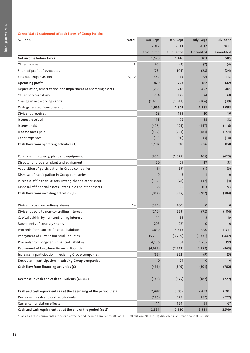#### **Consolidated statement of cash flows of Group Holcim**

| <b>Million CHF</b>                                                       | Notes | Jan-Sept     | Jan-Sept  | July-Sept    | July-Sept   |
|--------------------------------------------------------------------------|-------|--------------|-----------|--------------|-------------|
|                                                                          |       | 2012         | 2011      | 2012         | 2011        |
|                                                                          |       | Unaudited    | Unaudited | Unaudited    | Unaudited   |
| Net income before taxes                                                  |       | 1,590        | 1,416     | 703          | 585         |
| Other income                                                             | 8     | (20)         | (3)       | (7)          | (4)         |
| Share of profit of associates                                            |       | (73)         | (104)     | (28)         | (24)        |
| Financial expenses net                                                   | 9, 10 | 382          | 445       | 94           | 112         |
| <b>Operating profit</b>                                                  |       | 1,879        | 1,753     | 762          | 669         |
| Depreciation, amortization and impairment of operating assets            |       | 1,268        | 1,218     | 452          | 405         |
| Other non-cash items                                                     |       | 234          | 178       | 74           | 60          |
| Change in net working capital                                            |       | (1, 415)     | (1, 341)  | (106)        | (39)        |
| Cash generated from operations                                           |       | 1,966        | 1,809     | 1,181        | 1,095       |
| Dividends received                                                       |       | 68           | 133       | 10           | 10          |
| Interest received                                                        |       | 118          | 92        | 38           | 32          |
| Interest paid                                                            |       | (496)        | (494)     | (147)        | (116)       |
| Income taxes paid                                                        |       | (539)        | (581)     | (183)        | (154)       |
| Other expenses                                                           |       | (10)         | (30)      | (3)          | (10)        |
| Cash flow from operating activities (A)                                  |       | 1,107        | 930       | 896          | 858         |
|                                                                          |       |              |           |              |             |
| Purchase of property, plant and equipment                                |       | (933)        | (1,075)   | (365)        | (425)       |
| Disposal of property, plant and equipment                                |       | 70           | 65        | 17           | 35          |
| Acquisition of participation in Group companies                          |       | (1)          | (25)      | (1)          | (3)         |
| Disposal of participation in Group companies                             |       | 9            | 3         | $\mathbf{1}$ | $\mathbf 0$ |
| Purchase of financial assets, intangible and other assets                |       | (115)        | (78)      | (37)         | (4)         |
| Disposal of financial assets, intangible and other assets                |       | 168          | 155       | 103          | 93          |
| Cash flow from investing activities (B)                                  |       | (802)        | (955)     | (282)        | (304)       |
|                                                                          |       |              |           |              |             |
| Dividends paid on ordinary shares                                        | 14    | (325)        | (480)     | $\mathbf{0}$ | 0           |
| Dividends paid to non-controlling interest                               |       | (210)        | (223)     | (72)         | (104)       |
| Capital paid-in by non-controlling interest                              |       | 11           | 23        | 3            | 19          |
| Movements of treasury shares                                             |       | 293          | (22)      | $\mathbf 0$  | $\mathbf 0$ |
| Proceeds from current financial liabilities                              |       | 5,649        | 4,355     | 1,090        | 1,317       |
| Repayment of current financial liabilities                               |       | (5, 293)     | (3, 759)  | (1, 331)     | (1, 442)    |
| Proceeds from long-term financial liabilities                            |       | 4,136        | 2,564     | 1,705        | 399         |
| Repayment of long-term financial liabilities                             |       | (4,687)      | (2, 512)  | (2, 188)     | (965)       |
| Increase in participation in existing Group companies                    |       | (65)         | (322)     | (9)          | (5)         |
| Decrease in participation in existing Group companies                    |       | $\mathbf{0}$ | 27        | $\mathbf{0}$ | $\mathbf 0$ |
| Cash flow from financing activities (C)                                  |       | (491)        | (349)     | (801)        | (782)       |
|                                                                          |       |              |           |              |             |
| Decrease in cash and cash equivalents (A+B+C)                            |       | (186)        | (375)     | (187)        | (227)       |
|                                                                          |       |              |           |              |             |
| Cash and cash equivalents as at the beginning of the period (net)        |       | 2,497        | 3,069     | 2,457        | 2,701       |
| Decrease in cash and cash equivalents                                    |       | (186)        | (375)     | (187)        | (227)       |
| Currency translation effects                                             |       | 11           | (154)     | 51           | 67          |
| Cash and cash equivalents as at the end of the period (net) <sup>1</sup> |       | 2,321        | 2,540     | 2,321        | 2,540       |

1 Cash and cash equivalents at the end of the period include bank overdrafts of CHF 520 million (2011: 531), disclosed in current financial liabilities.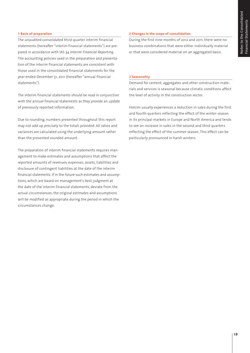#### **1 Basis of preparation**

The unaudited consolidated third quarter interim financial statements (hereafter "interim financial statements") are prepared in accordance with IAS 34 *Interim Financial Reporting.*  The accounting policies used in the preparation and presentation of the interim financial statements are consistent with those used in the consolidated financial statements for the year ended December 31, 2011 (hereafter "annual financial statements").

The interim financial statements should be read in conjunction with the annual financial statements as they provide an update of previously reported information.

Due to rounding, numbers presented throughout this report may not add up precisely to the totals provided. All ratios and variances are calculated using the underlying amount rather than the presented rounded amount.

The preparation of interim financial statements requires management to make estimates and assumptions that affect the reported amounts of revenues, expenses, assets, liabilities and disclosure of contingent liabilities at the date of the interim financial statements. If in the future such estimates and assumptions, which are based on management's best judgment at the date of the interim financial statements, deviate from the actual circumstances, the original estimates and assumptions will be modified as appropriate during the period in which the circumstances change.

#### **2 Changes in the scope of consolidation**

During the first nine months of 2012 and 2011, there were no business combinations that were either individually material or that were considered material on an aggregated basis.

#### **3 Seasonality**

Demand for cement, aggregates and other construction materials and services is seasonal because climatic conditions affect the level of activity in the construction sector.

Holcim usually experiences a reduction in sales during the first and fourth quarters reflecting the effect of the winter season in its principal markets in Europe and North America and tends to see an increase in sales in the second and third quarters reflecting the effect of the summer season. This effect can be particularly pronounced in harsh winters.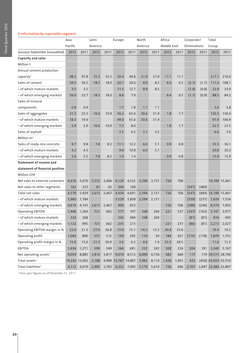#### **4 Information by reportable segment**

|                                   | Asia    |               | Latin   |       | Europe              |             | North   |       | Africa      |       | Corporate/   |       | Total                 |       |
|-----------------------------------|---------|---------------|---------|-------|---------------------|-------------|---------|-------|-------------|-------|--------------|-------|-----------------------|-------|
|                                   | Pacific |               | America |       |                     |             | America |       | Middle East |       | Eliminations |       | Group                 |       |
| January-September (unaudited)     | 2012    | 2011          | 2012    | 2011  | 2012                | 2011        | 2012    | 2011  | 2012        | 2011  | 2012         | 2011  | 2012                  | 2011  |
| Capacity and sales                |         |               |         |       |                     |             |         |       |             |       |              |       |                       |       |
| Million t                         |         |               |         |       |                     |             |         |       |             |       |              |       |                       |       |
| Annual cement production          |         |               |         |       |                     |             |         |       |             |       |              |       |                       |       |
| capacity <sup>1</sup>             | 98.3    | 97.8          | 35.5    | 35.5  | 50.4                | 49.8        | 21.9    | 21.9  | 11.1        | 11.1  |              |       | 217.1                 | 216.0 |
| Sales of cement                   | 59.5    | 56.2          | 18.5    | 18.0  | 20.1                | 20.6        | 8.9     | 8.5   | 6.4         | 6.5   | (2.1)        | (1.7) | 111.4                 | 108.1 |
| – of which mature markets         | 3.5     | 3.5           |         |       | 11.5                | 12.7        | 8.9     | 8.5   |             |       | (1.0)        | (0.8) | 22.9                  | 23.9  |
| - of which emerging markets       | 56.0    | 52.7          | 18.5    | 18.0  | 8.6                 | 7.9         |         |       | 6.4         | 6.5   | (1.1)        | (0.9) | 88.5                  | 84.2  |
| Sales of mineral                  |         |               |         |       |                     |             |         |       |             |       |              |       |                       |       |
| components                        | 0.8     | 0.9           |         |       | 1.7                 | 1.8         | 1.1     | 1.1   |             |       |              |       | 3.6                   | 3.8   |
| Sales of aggregates               | 21.2    | 22.3          | 10.6    | 10.9  | 56.2                | 63.6        | 30.6    | 31.9  | 1.8         | 1.7   |              |       | 120.3                 | 130.4 |
| – of which mature markets         | 18.3    | 19.4          |         |       | 49.0                | 55.6        | 30.6    | 31.9  |             |       |              |       | 97.9                  | 106.9 |
| - of which emerging markets       | 2.9     | 2.9           | 10.6    | 10.9  | 7.2                 | 8.0         |         |       | 1.8         | 1.7   |              |       | 22.5                  | 23.5  |
| Sales of asphalt                  |         |               |         |       | 3.5                 | 4.2         | 3.1     | 3.5   |             |       |              |       | 6.6                   | 7.6   |
| Million $m3$                      |         |               |         |       |                     |             |         |       |             |       |              |       |                       |       |
| Sales of ready-mix concrete       | 9.7     | 9.8           | 7.8     | 8.2   | 11.1                | 12.2        | 6.0     | 5.1   | 0.9         | 0.8   |              |       | 35.5                  | 36.1  |
| – of which mature markets         | 4.2     | 4.3           |         |       | 9.8                 | 10.8        | 6.0     | 5.1   |             |       |              |       | 20.0                  | 20.2  |
| - of which emerging markets       | 5.6     | 5.5           | 7.8     | 8.2   | 1.4                 | 1.4         |         |       | 0.9         | 0.8   |              |       | 15.6                  | 15.9  |
| <b>Statement of income and</b>    |         |               |         |       |                     |             |         |       |             |       |              |       |                       |       |
| statement of financial position   |         |               |         |       |                     |             |         |       |             |       |              |       |                       |       |
| <b>Million CHF</b>                |         |               |         |       |                     |             |         |       |             |       |              |       |                       |       |
| Net sales to external customers   | 6,416   | 5,676         | 2,532   | 2,406 | 4,129               | 4,522       | 2,394   | 2,151 | 726         | 706   |              |       | 16,198 15,461         |       |
| Net sales to other segments       | 162     | 253           | 81      | 62    | 304                 | 169         |         |       |             |       | (547)        | (484) |                       |       |
| Total net sales                   | 6,579   | 5,929         | 2,613   | 2,467 | 4,434               | 4,691       | 2,394   | 2,151 | 726         | 706   | (547)        |       | $(484)$ 16,198 15,461 |       |
| – of which mature markets         | 1,960   | 1,784         |         |       | 3,529               | 3,858       | 2,394   | 2,151 |             |       | (259)        | (237) | 7,624                 | 7,556 |
| - of which emerging markets       | 4,619   | 4,145         | 2,613   | 2,467 | 904                 | 833         |         |       | 726         | 706   | (288)        | (246) | 8,574                 | 7,905 |
| <b>Operating EBITDA</b>           | 1,446   | 1,264         | 721     | 662   | 577                 | 707         | 348     | 264   | 221         | 237   | (167)        | (163) | 3,147                 | 2,971 |
| – of which mature markets         | 324     | 268           |         |       | 343                 | 494         | 348     | 264   |             |       | (81)         | (81)  | 934                   | 945   |
| – of which emerging markets       | 1,122   | 995           | 721     | 662   | 235                 | 213         |         |       | 221         | 237   | (86)         |       | $(81)$ 2,213          | 2,027 |
| Operating EBITDA margin in %      | 22.0    | 21.3          | 27.6    | 26.8  | 13.0                | 15.1        | 14.5    | 12.3  | 30.4        | 33.6  |              |       | 19.4                  | 19.2  |
| Operating profit                  | 1,044   | 890           | 557     | 515   | 159                 | 295         | 110     | 30    | 184         | 201   | (175)        | (178) | 1,879                 | 1,753 |
| Operating profit margin in %      | 15.9    | 15.0          | 21.3    | 20.9  | 3.6                 | 6.3         | 4.6     | 1.4   | 25.3        | 28.5  |              |       | 11.6                  | 11.3  |
| EBITDA                            | 1,434   | 1,271         | 599     | 549   | 564                 | 691         | 332     | 242   | 208         | 224   | 204          | 191   | 3,340                 | 3,167 |
| Net operating assets <sup>1</sup> | 9,059   | 8,885         | 3,814   | 3,817 | 9,010               | 8,512       | 6,890   | 6,736 | 682         | 660   | 117          |       | 179 29,573 28,790     |       |
| Total assets <sup>1</sup>         |         | 14,242 13,692 | 5,188   |       | 4,989 13,787 14,807 |             | 7,965   | 8,114 | 1,436       | 1,401 | 432          |       | (450) 43,050 42,554   |       |
| Total liabilities <sup>1</sup>    |         | 4,112 4,019   | 2,995   | 2,783 |                     | 6,352 7,092 | 5,579   | 5,610 | 736         | 696   | 2,707        |       | 2,697 22,480 22,897   |       |

1 Prior-year figures as of December 31, 2011.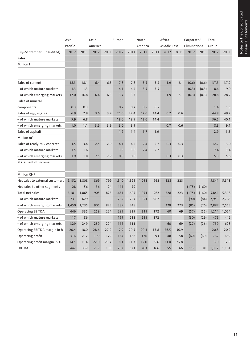Notes to the Consolidated<br>Financial Statements Notes to the Consolidated Financial Statements

|                                 | Asia    |       | Latin   |      | Europe |       | North   |      | Africa      |      | Corporate/   |       | Total |       |
|---------------------------------|---------|-------|---------|------|--------|-------|---------|------|-------------|------|--------------|-------|-------|-------|
|                                 | Pacific |       | America |      |        |       | America |      | Middle East |      | Eliminations |       | Group |       |
| July-September (unaudited)      | 2012    | 2011  | 2012    | 2011 | 2012   | 2011  | 2012    | 2011 | 2012        | 2011 | 2012         | 2011  | 2012  | 2011  |
| <b>Sales</b>                    |         |       |         |      |        |       |         |      |             |      |              |       |       |       |
| Million t                       |         |       |         |      |        |       |         |      |             |      |              |       |       |       |
|                                 |         |       |         |      |        |       |         |      |             |      |              |       |       |       |
| Sales of cement                 | 18.3    | 18.1  | 6.4     | 6.3  | 7.8    | 7.8   | 3.5     | 3.5  | 1.9         | 2.1  | (0.6)        | (0.6) | 37.3  | 37.2  |
| - of which mature markets       | 1.3     | 1.3   |         |      | 4.1    | 4.4   | 3.5     | 3.5  |             |      | (0.3)        | (0.3) | 8.6   | 9.0   |
| - of which emerging markets     | 17.0    | 16.8  | 6.4     | 6.3  | 3.7    | 3.3   |         |      | 1.9         | 2.1  | (0.3)        | (0.3) | 28.8  | 28.2  |
| Sales of mineral                |         |       |         |      |        |       |         |      |             |      |              |       |       |       |
| components                      | 0.3     | 0.3   |         |      | 0.7    | 0.7   | 0.5     | 0.5  |             |      |              |       | 1.4   | 1.5   |
| Sales of aggregates             | 6.9     | 7.9   | 3.6     | 3.9  | 21.0   | 22.4  | 12.6    | 14.4 | 0.7         | 0.6  |              |       | 44.8  | 49.2  |
| - of which mature markets       | 5.9     | 6.8   |         |      | 18.0   | 18.9  | 12.6    | 14.4 |             |      |              |       | 36.5  | 40.1  |
| - of which emerging markets     | 1.0     | 1.1   | 3.6     | 3.9  | 3.0    | 3.5   |         |      | 0.7         | 0.6  |              |       | 8.3   | 9.1   |
| Sales of asphalt                |         |       |         |      | 1.2    | 1.4   | 1.7     | 1.9  |             |      |              |       | 2.9   | 3.3   |
| Million m <sup>3</sup>          |         |       |         |      |        |       |         |      |             |      |              |       |       |       |
| Sales of ready-mix concrete     | 3.5     | 3.4   | 2.5     | 2.9  | 4.1    | 4.2   | 2.4     | 2.2  | 0.3         | 0.3  |              |       | 12.7  | 13.0  |
| - of which mature markets       | 1.5     | 1.6   |         |      | 3.5    | 3.6   | 2.4     | 2.2  |             |      |              |       | 7.4   | 7.4   |
| - of which emerging markets     | 1.9     | 1.8   | 2.5     | 2.9  | 0.6    | 0.6   |         |      | 0.3         | 0.3  |              |       | 5.3   | 5.6   |
| <b>Statement of income</b>      |         |       |         |      |        |       |         |      |             |      |              |       |       |       |
| <b>Million CHF</b>              |         |       |         |      |        |       |         |      |             |      |              |       |       |       |
| Net sales to external customers | 2,152   | 1,808 | 869     | 799  | 1,540  | 1,525 | 1,051   | 962  | 228         | 223  |              |       | 5,841 | 5,318 |
| Net sales to other segments     | 28      | 56    | 36      | 24   | 111    | 79    |         |      |             |      | (175)        | (160) |       |       |
| Total net sales                 | 2,181   | 1,865 | 905     | 823  | 1,651  | 1,605 | 1,051   | 962  | 228         | 223  | (175)        | (160) | 5,841 | 5,318 |
| - of which mature markets       | 731     | 629   |         |      | 1,262  | 1,257 | 1,051   | 962  |             |      | (90)         | (84)  | 2,953 | 2,765 |
| - of which emerging markets     | 1,450   | 1,235 | 905     | 823  | 389    | 348   |         |      | 228         | 223  | (85)         | (76)  | 2,887 | 2,553 |
| <b>Operating EBITDA</b>         | 446     | 335   | 259     | 224  | 295    | 329   | 211     | 172  | 60          | 69   | (57)         | (55)  | 1,214 | 1,074 |
| - of which mature markets       | 117     | 86    |         |      | 177    | 218   | 211     | 172  |             |      | (30)         | (29)  | 475   | 446   |
| - of which emerging markets     | 329     | 249   | 259     | 224  | 117    | 111   |         |      | 60          | 69   | (27)         | (26)  | 739   | 628   |
| Operating EBITDA margin in %    | 20.4    | 18.0  | 28.6    | 27.2 | 17.9   | 20.5  | 20.1    | 17.8 | 26.5        | 30.9 |              |       | 20.8  | 20.2  |
| Operating profit                | 316     | 212   | 199     | 179  | 134    | 188   | 126     | 93   | 48          | 58   | (60)         | (60)  | 762   | 669   |
| Operating profit margin in %    | 14.5    | 11.4  | 22.0    | 21.7 | 8.1    | 11.7  | 12.0    | 9.6  | 21.0        | 25.8 |              |       | 13.0  | 12.6  |
| <b>EBITDA</b>                   | 442     | 339   | 219     | 188  | 282    | 321   | 203     | 166  | 55          | 66   | 117          | 81    | 1,317 | 1,161 |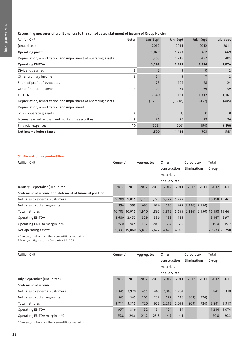#### **Reconciling measures of profit and loss to the consolidated statement of income of Group Holcim**

| <b>Million CHF</b>                                            | Notes | Jan-Sept       | Jan-Sept       | July-Sept | July-Sept      |
|---------------------------------------------------------------|-------|----------------|----------------|-----------|----------------|
| (unaudited)                                                   |       | 2012           | 2011           | 2012      | 2011           |
| Operating profit                                              |       | 1,879          | 1,753          | 762       | 669            |
| Depreciation, amortization and impairment of operating assets |       | 1,268          | 1,218          | 452       | 405            |
| <b>Operating EBITDA</b>                                       |       | 3,147          | 2,971          | 1,214     | 1,074          |
| Dividends earned                                              | 8     | $\overline{2}$ | 3              | $\Omega$  | $\overline{2}$ |
| Other ordinary income                                         | 8     | 24             | $\overline{3}$ |           | $\overline{2}$ |
| Share of profit of associates                                 |       | 73             | 104            | 28        | 24             |
| Other financial income                                        | 9     | 94             | 85             | 69        | 59             |
| <b>EBITDA</b>                                                 |       | 3,340          | 3,167          | 1,317     | 1,161          |
| Depreciation, amortization and impairment of operating assets |       | (1, 268)       | (1, 218)       | (452)     | (405)          |
| Depreciation, amortization and impairment                     |       |                |                |           |                |
| of non-operating assets                                       | 8     | (6)            | (3)            | $\Omega$  | $\Omega$       |
| Interest earned on cash and marketable securities             | 9     | 96             | 76             | 32        | 26             |
| Financial expenses                                            | 10    | (572)          | (606)          | (194)     | (196)          |
| Net income before taxes                                       |       | 1,590          | 1,416          | 703       | 585            |

#### **5 Information by product line**

| <b>Million CHF</b>                                      | Cement <sup>1</sup> |               | Aggregates |       | Other        |       | Corporate/          |      | Total                               |       |
|---------------------------------------------------------|---------------------|---------------|------------|-------|--------------|-------|---------------------|------|-------------------------------------|-------|
|                                                         |                     |               |            |       | construction |       | Eliminations        |      | Group                               |       |
|                                                         |                     |               |            |       | materials    |       |                     |      |                                     |       |
|                                                         |                     |               |            |       | and services |       |                     |      |                                     |       |
| January-September (unaudited)                           | 2012                | 2011          | 2012       | 2011  | 2012         | 2011  | 2012                | 2011 | 2012                                | 2011  |
| Statement of income and statement of financial position |                     |               |            |       |              |       |                     |      |                                     |       |
| Net sales to external customers                         | 9,709               | 9,015         | 1,217      | 1,223 | 5,272        | 5,222 |                     |      | 16,198 15,461                       |       |
| Net sales to other segments                             | 994                 | 999           | 693        | 674   | 540          | 477   | $(2,226)$ $(2,150)$ |      |                                     |       |
| Total net sales                                         | 10,703 10,015       |               | 1,910      | 1,897 | 5,812        |       |                     |      | 5,699 (2,226) (2,150) 16,198 15,461 |       |
| <b>Operating EBITDA</b>                                 | 2,680               | 2,452         | 329        | 396   | 138          | 123   |                     |      | 3,147                               | 2,971 |
| Operating EBITDA margin in %                            | 25.0                | 24.5          | 17.2       | 20.9  | 2.4          | 2.2   |                     |      | 19.4                                | 19.2  |
| Net operating assets <sup>2</sup>                       |                     | 19,331 19,060 | 5,817      | 5,672 | 4,425        | 4,058 |                     |      | 29,573 28,790                       |       |

1 Cement, clinker and other cementitious materials.

2 Prior-year figures as of December 31, 2011.

| <b>Million CHF</b>              | Cement <sup>1</sup> |       | Aggregates |      | Other        |       | Corporate/   |       | Total |       |
|---------------------------------|---------------------|-------|------------|------|--------------|-------|--------------|-------|-------|-------|
|                                 |                     |       |            |      | construction |       | Eliminations |       | Group |       |
|                                 |                     |       |            |      | materials    |       |              |       |       |       |
|                                 |                     |       |            |      | and services |       |              |       |       |       |
| July-September (unaudited)      | 2012                | 2011  | 2012       | 2011 | 2012         | 2011  | 2012         | 2011  | 2012  | 2011  |
| <b>Statement of income</b>      |                     |       |            |      |              |       |              |       |       |       |
| Net sales to external customers | 3,345               | 2,970 | 455        | 443  | 2,040        | 1,904 |              |       | 5,841 | 5,318 |
| Net sales to other segments     | 365                 | 345   | 265        | 232  | 172          | 148   | (803)        | (724) |       |       |
| Total net sales                 | 3,711               | 3,315 | 720        | 675  | 2,212        | 2,053 | (803)        | (724) | 5,841 | 5,318 |
| <b>Operating EBITDA</b>         | 957                 | 816   | 152        | 174  | 104          | 84    |              |       | 1,214 | 1,074 |
| Operating EBITDA margin in %    | 25.8                | 24.6  | 21.2       | 25.8 | 4.7          | 4.1   |              |       | 20.8  | 20.2  |

<sup>1</sup> Cement, clinker and other cementitious materials.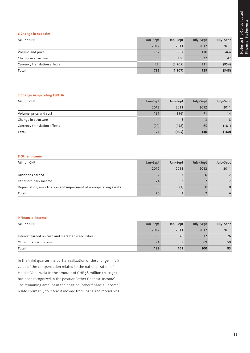#### **6 Change in net sales**

| <b>Million CHF</b>           | Jan-Sept | Jan-Sept | July-Sept | July-Sept |
|------------------------------|----------|----------|-----------|-----------|
|                              | 2012     | 2011     | 2012      | 2011      |
| Volume and price             | 757      | 967      | 170       | 464       |
| Change in structure          | 33       | 130      | 22        | 42        |
| Currency translation effects | (53)     | (2, 205) | 331       | (854)     |
| Total                        | 737      | (1, 107) | 523       | (348)     |

#### **7 Change in operating EBITDA**

| <b>Million CHF</b>           | Jan-Sept | Jan-Sept | July-Sept | July-Sept |
|------------------------------|----------|----------|-----------|-----------|
|                              | 2012     | 2011     | 2012      | 2011      |
| Volume, price and cost       | 191      | (156)    | 71        | 14        |
| Change in structure          |          | 8        |           | 8         |
| Currency translation effects | (20)     | (458)    | 65        | (181)     |
| Total                        | 175      | (605)    | 140       | (160)     |

#### **8 Other income**

| <b>Million CHF</b>                                                | Jan-Sept | Jan-Sept | July-Sept | July-Sept |
|-------------------------------------------------------------------|----------|----------|-----------|-----------|
|                                                                   | 2012     | 2011     | 2012      | 2011      |
| Dividends earned                                                  |          |          |           |           |
| Other ordinary income                                             | 24       |          |           |           |
| Depreciation, amortization and impairment of non-operating assets | (6)      | (3)      |           | $\Omega$  |
| Total                                                             | 20       |          |           |           |

#### **9 Financial income**

| <b>Million CHF</b>                                | Jan-Sept | Jan-Sept | July-Sept | July-Sept |
|---------------------------------------------------|----------|----------|-----------|-----------|
|                                                   | 2012     | 2011     | 2012      | 2011      |
| Interest earned on cash and marketable securities | 96       | 76       | 32        | 26        |
| Other financial income                            | 94       | 85       | 69        | 59        |
| Total                                             | 189      | 161      | 100       | 85        |

In the third quarter the partial realization of the change in fair value of the compensation related to the nationalization of Holcim Venezuela in the amount of CHF 58 million (2011: 54) has been recognized in the position "other financial income". The remaining amount in the position "other financial income" relates primarily to interest income from loans and receivables.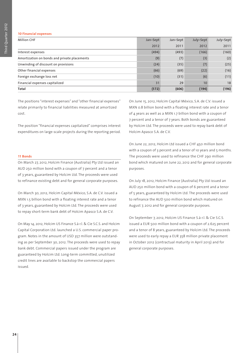#### **10 Financial expenses**

| <b>Million CHF</b>                           | Jan-Sept | Jan-Sept | July-Sept | July-Sept |
|----------------------------------------------|----------|----------|-----------|-----------|
|                                              | 2012     | 2011     | 2012      | 2011      |
| Interest expenses                            | (494)    | (493)    | (166)     | (160)     |
| Amortization on bonds and private placements | (9)      | (7)      | (3)       | (2)       |
| Unwinding of discount on provisions          | (24)     | (35)     | (7)       | (25)      |
| Other financial expenses                     | (66)     | (69)     | (22)      | (16)      |
| Foreign exchange loss net                    | (10)     | (31)     | (6)       | (11)      |
| Financial expenses capitalized               | 31       | 29       | 10        | 18        |
| Total                                        | (572)    | (606)    | (194)     | (196)     |

The positions "interest expenses" and "other financial expenses" relate primarily to financial liabilities measured at amortized cost.

The position "financial expenses capitalized" comprises interest expenditures on large-scale projects during the reporting period.

#### **11 Bonds**

On March 27, 2012, Holcim Finance (Australia) Pty Ltd issued an AUD 250 million bond with a coupon of 7 percent and a tenor of 3 years, guaranteed by Holcim Ltd. The proceeds were used to refinance existing debt and for general corporate purposes.

On March 30, 2012, Holcim Capital México, S.A. de C.V. issued a MXN 1.5 billion bond with a floating interest rate and a tenor of 3 years, guaranteed by Holcim Ltd. The proceeds were used to repay short-term bank debt of Holcim Apasco S.A. de C.V.

On May 14, 2012, Holcim US Finance S.à r.l. & Cie S.C.S. and Holcim Capital Corporation Ltd. launched a U.S. commercial paper program. Notes in the amount of USD 357 million were outstanding as per September 30, 2012. The proceeds were used to repay bank debt. Commercial papers issued under the program are guaranteed by Holcim Ltd. Long-term committed, unutilized credit lines are available to backstop the commercial papers issued.

On June 15, 2012, Holcim Capital México, S.A. de C.V. issued a MXN 0.8 billion bond with a floating interest rate and a tenor of 4 years as well as a MXN 1.7 billion bond with a coupon of 7 percent and a tenor of 7 years. Both bonds are guaranteed by Holcim Ltd. The proceeds were used to repay bank debt of Holcim Apasco S.A. de C.V.

On June 22, 2012, Holcim Ltd issued a CHF 450 million bond with a coupon of 3 percent and a tenor of 10 years and 5 months. The proceeds were used to refinance the CHF 290 million bond which matured on June 22, 2012 and for general corporate purposes.

On July 18, 2012, Holcim Finance (Australia) Pty Ltd issued an AUD 250 million bond with a coupon of 6 percent and a tenor of 5 years, guaranteed by Holcim Ltd. The proceeds were used to refinance the AUD 500 million bond which matured on August 7, 2012 and for general corporate purposes.

On September 7, 2012, Holcim US Finance S.à r.l. & Cie S.C.S. issued a EUR 500 million bond with a coupon of 2.625 percent and a tenor of 8 years, guaranteed by Holcim Ltd. The proceeds were used to early repay a EUR 358 million private placement in October 2012 (contractual maturity in April 2013) and for general corporate purposes.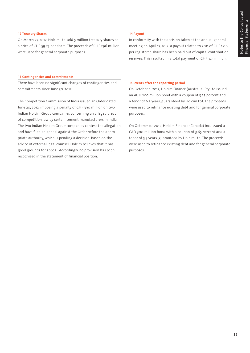#### **12 Treasury Shares**

On March 27, 2012, Holcim Ltd sold 5 million treasury shares at a price of CHF 59.25 per share. The proceeds of CHF 296 million were used for general corporate purposes.

#### **14 Payout**

In conformity with the decision taken at the annual general meeting on April 17, 2012, a payout related to 2011 of CHF 1.00 per registered share has been paid out of capital contribution reserves. This resulted in a total payment of CHF 325 million.

#### **13 Contingencies and commitments**

There have been no significant changes of contingencies and commitments since June 30, 2012.

The Competition Commission of India issued an Order dated June 20, 2012, imposing a penalty of CHF 390 million on two Indian Holcim Group companies concerning an alleged breach of competition law by certain cement manufacturers in India. The two Indian Holcim Group companies contest the allegation and have filed an appeal against the Order before the appropriate authority, which is pending a decision. Based on the advice of external legal counsel, Holcim believes that it has good grounds for appeal. Accordingly, no provision has been recognized in the statement of financial position.

#### **15 Events after the reporting period**

On October 4, 2012, Holcim Finance (Australia) Pty Ltd issued an AUD 200 million bond with a coupon of 5.25 percent and a tenor of 6.5 years, guaranteed by Holcim Ltd. The proceeds were used to refinance existing debt and for general corporate purposes.

On October 10, 2012, Holcim Finance (Canada) Inc. issued a CAD 300 million bond with a coupon of 3.65 percent and a tenor of 5.5 years, guaranteed by Holcim Ltd. The proceeds were used to refinance existing debt and for general corporate purposes.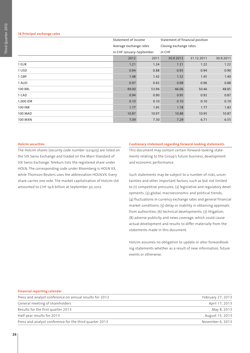#### **16 Principal exchange rates**

|                | Statement of income      |       | Statement of financial position |            |           |
|----------------|--------------------------|-------|---------------------------------|------------|-----------|
|                | Average exchange rates   |       | Closing exchange rates          |            |           |
|                | in CHF January-September |       | in CHF                          |            |           |
|                | 2012                     | 2011  | 30.9.2012                       | 31.12.2011 | 30.9.2011 |
| 1 EUR          | 1.21                     | 1.24  | 1.21                            | 1.22       | 1.22      |
| 1 USD          | 0.94                     | 0.88  | 0.93                            | 0.94       | 0.90      |
| 1 GBP          | 1.48                     | 1.42  | 1.52                            | 1.45       | 1.40      |
| 1 AUD          | 0.97                     | 0.92  | 0.98                            | 0.96       | 0.88      |
| <b>100 BRL</b> | 49.00                    | 53.94 | 46.06                           | 50.46      | 48.85     |
| 1 CAD          | 0.94                     | 0.90  | 0.95                            | 0.92       | 0.87      |
| 1,000 IDR      | 0.10                     | 0.10  | 0.10                            | 0.10       | 0.10      |
| <b>100 INR</b> | 1.77                     | 1.95  | 1.78                            | 1.77       | 1.83      |
| <b>100 MAD</b> | 10.87                    | 10.97 | 10.88                           | 10.95      | 10.87     |
| <b>100 MXN</b> | 7.09                     | 7.30  | 7.29                            | 6.71       | 6.55      |

#### **Holcim securities**

The Holcim shares (security code number 1221405) are listed on the SIX Swiss Exchange and traded on the Main Standard of SIX Swiss Exchange. Telekurs lists the registered share under HOLN. The corresponding code under Bloomberg is HOLN VX, while Thomson Reuters uses the abbreviation HOLN.VX. Every share carries one vote. The market capitalization of Holcim Ltd amounted to CHF 19.6 billion at September 30, 2012.

#### **Cautionary statement regarding forward-looking statements**

This document may contain certain forward-looking statements relating to the Group's future business, development and economic performance.

Such statements may be subject to a number of risks, uncertainties and other important factors, such as but not limited to (1) competitive pressures; (2) legislative and regulatory developments; (3) global, macroeconomic and political trends; (4) fluctuations in currency exchange rates and general financial market conditions; (5) delay or inability in obtaining approvals from authorities; (6) technical developments; (7) litigation; (8) adverse publicity and news coverage, which could cause actual development and results to differ materially from the statements made in this document.

Holcim assumes no obligation to update or alter forwardlooking statements whether as a result of new information, future events or otherwise.

| Financial reporting calendar                            |                   |
|---------------------------------------------------------|-------------------|
| Press and analyst conference on annual results for 2012 | February 27, 2013 |
| General meeting of shareholders                         | April 17, 2013    |
| Results for the first quarter 2013                      | May 8, 2013       |
| Half-year results for 2013                              | August 15, 2013   |
| Press and analyst conference for the third quarter 2013 | November 6, 2013  |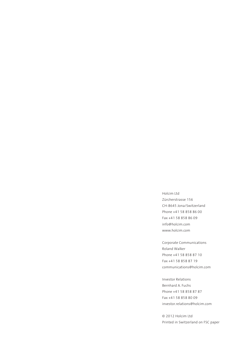Holcim Ltd Zürcherstrasse 156 CH-8645 Jona/Switzerland Phone +41 58 858 86 00 Fax +41 58 858 86 09 info@holcim.com www.holcim.com

Corporate Communications Roland Walker Phone +41 58 858 87 10 Fax +41 58 858 87 19 communications@holcim.com

Investor Relations Bernhard A. Fuchs Phone +41 58 858 87 87 Fax +41 58 858 80 09 investor.relations@holcim.com

© 2012 Holcim Ltd Printed in Switzerland on FSC paper